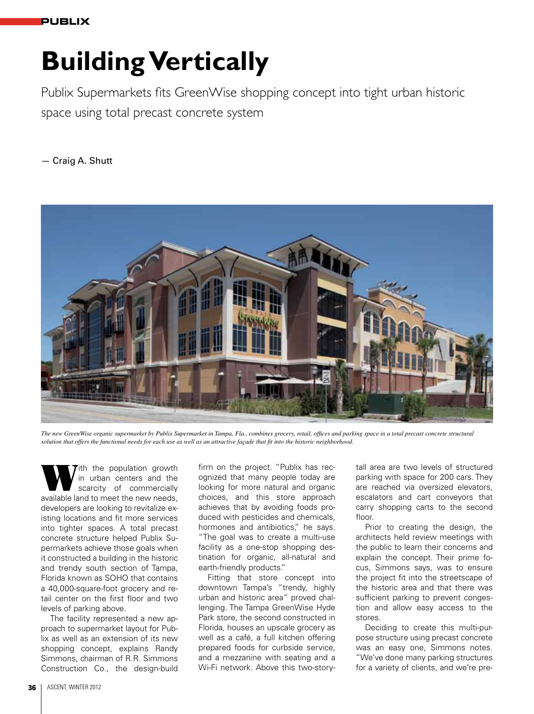# **Building Vertically**

Publix Supermarkets fits GreenWise shopping concept into tight urban historic space using total precast concrete system

— Craig A. Shutt



*The new GreenWise organic supermarket by Publix Supermarket in Tampa, Fla., combines grocery, retail, offices and parking space in a total precast concrete structural solution that offers the functional needs for each use as well as an attractive façade that fit into the historic neighborhood.*

With the population growth<br>
scarcity of commercially<br>
available land to most the now noods in urban centers and the scarcity of commercially available land to meet the new needs, developers are looking to revitalize existing locations and fit more services into tighter spaces. A total precast concrete structure helped Publix Supermarkets achieve those goals when it constructed a building in the historic and trendy south section of Tampa, Florida known as SOHO that contains a 40,000-square-foot grocery and retail center on the first floor and two levels of parking above.

The facility represented a new approach to supermarket layout for Publix as well as an extension of its new shopping concept, explains Randy Simmons, chairman of R.R. Simmons Construction Co., the design-build firm on the project. "Publix has recognized that many people today are looking for more natural and organic choices, and this store approach achieves that by avoiding foods produced with pesticides and chemicals, hormones and antibiotics," he says. "The goal was to create a multi-use facility as a one-stop shopping destination for organic, all-natural and earth-friendly products."

Fitting that store concept into downtown Tampa's "trendy, highly urban and historic area" proved challenging. The Tampa GreenWise Hyde Park store, the second constructed in Florida, houses an upscale grocery as well as a café, a full kitchen offering prepared foods for curbside service, and a mezzanine with seating and a Wi-Fi network. Above this two-story-

tall area are two levels of structured parking with space for 200 cars. They are reached via oversized elevators, escalators and cart conveyors that carry shopping carts to the second floor.

Prior to creating the design, the architects held review meetings with the public to learn their concerns and explain the concept. Their prime focus, Simmons says, was to ensure the project fit into the streetscape of the historic area and that there was sufficient parking to prevent congestion and allow easy access to the stores.

Deciding to create this multi-purpose structure using precast concrete was an easy one, Simmons notes. "We've done many parking structures for a variety of clients, and we're pre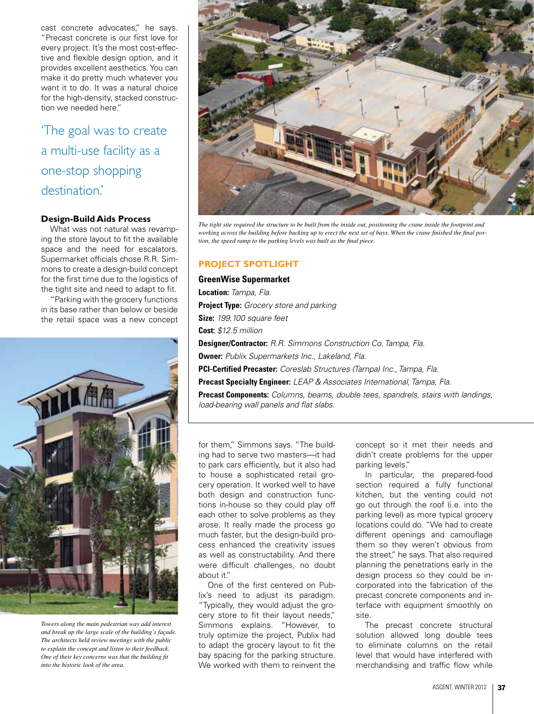cast concrete advocates," he says. "Precast concrete is our first love for every project. It's the most cost-effective and flexible design option, and it provides excellent aesthetics. You can make it do pretty much whatever you want it to do. It was a natural choice for the high-density, stacked construction we needed here."

'The goal was to create a multi-use facility as a one-stop shopping destination.'

### **Design-Build Aids Process**

What was not natural was revamping the store layout to fit the available space and the need for escalators. Supermarket officials chose R.R. Simmons to create a design-build concept for the first time due to the logistics of the tight site and need to adapt to fit.

"Parking with the grocery functions in its base rather than below or beside the retail space was a new concept



*Towers along the main pedestrian way add interest and break up the large scale of the building's façade. The architects held review meetings with the public to explain the concept and listen to their feedback. One of their key concerns was that the building fit into the historic look of the area.*



*The tight site required the structure to be built from the inside out, positioning the crane inside the footprint and working across the building before backing up to erect the next set of bays. When the crane finished the final portion, the speed ramp to the parking levels was built as the final piece.* 

## **PROJECT SPOTLIGHT**

**GreenWise Supermarket Location:** *Tampa, Fla.* **Project Type:** *Grocery store and parking* **Size:** *199,100 square feet* **Cost:** *\$12.5 million* **Designer/Contractor:** *R.R. Simmons Construction Co. Tampa, Fla.* **Owner:** *Publix Supermarkets Inc., Lakeland, Fla.* **PCI-Certified Precaster:** *Coreslab Structures (Tampa) Inc., Tampa, Fla.* **Precast Specialty Engineer:** *LEAP & Associates International, Tampa, Fla.* **Precast Components:** *Columns, beams, double tees, spandrels, stairs with landings,* 

for them," Simmons says. "The building had to serve two masters—it had to park cars efficiently, but it also had to house a sophisticated retail grocery operation. It worked well to have both design and construction functions in-house so they could play off each other to solve problems as they arose. It really made the process go much faster, but the design-build process enhanced the creativity issues as well as constructability. And there were difficult challenges, no doubt about it."

*load-bearing wall panels and flat slabs.*

One of the first centered on Publix's need to adjust its paradigm. "Typically, they would adjust the grocery store to fit their layout needs," Simmons explains. "However, to truly optimize the project, Publix had to adapt the grocery layout to fit the bay spacing for the parking structure. We worked with them to reinvent the concept so it met their needs and didn't create problems for the upper parking levels."

In particular, the prepared-food section required a fully functional kitchen, but the venting could not go out through the roof (i.e. into the parking level) as more typical grocery locations could do. "We had to create different openings and camouflage them so they weren't obvious from the street," he says. That also required planning the penetrations early in the design process so they could be incorporated into the fabrication of the precast concrete components and interface with equipment smoothly on site.

The precast concrete structural solution allowed long double tees to eliminate columns on the retail level that would have interfered with merchandising and traffic flow while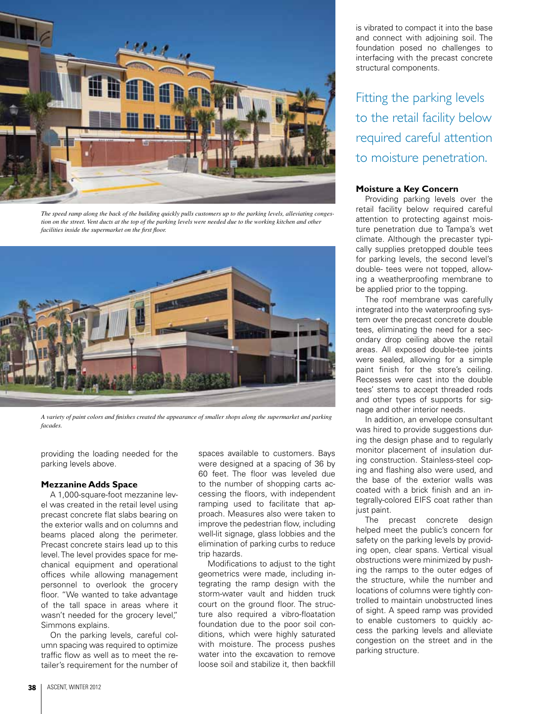

*The speed ramp along the back of the building quickly pulls customers up to the parking levels, alleviating congestion on the street. Vent ducts at the top of the parking levels were needed due to the working kitchen and other facilities inside the supermarket on the first floor.*



*A variety of paint colors and finishes created the appearance of smaller shops along the supermarket and parking facades.* 

providing the loading needed for the parking levels above.

#### **Mezzanine Adds Space**

A 1,000-square-foot mezzanine level was created in the retail level using precast concrete flat slabs bearing on the exterior walls and on columns and beams placed along the perimeter. Precast concrete stairs lead up to this level. The level provides space for mechanical equipment and operational offices while allowing management personnel to overlook the grocery floor. "We wanted to take advantage of the tall space in areas where it wasn't needed for the grocery level," Simmons explains.

On the parking levels, careful column spacing was required to optimize traffic flow as well as to meet the retailer's requirement for the number of spaces available to customers. Bays were designed at a spacing of 36 by 60 feet. The floor was leveled due to the number of shopping carts accessing the floors, with independent ramping used to facilitate that approach. Measures also were taken to improve the pedestrian flow, including well-lit signage, glass lobbies and the elimination of parking curbs to reduce trip hazards.

Modifications to adjust to the tight geometrics were made, including integrating the ramp design with the storm-water vault and hidden truck court on the ground floor. The structure also required a vibro-floatation foundation due to the poor soil conditions, which were highly saturated with moisture. The process pushes water into the excavation to remove loose soil and stabilize it, then backfill is vibrated to compact it into the base and connect with adjoining soil. The foundation posed no challenges to interfacing with the precast concrete structural components.

Fitting the parking levels to the retail facility below required careful attention to moisture penetration.

#### **Moisture a Key Concern**

Providing parking levels over the retail facility below required careful attention to protecting against moisture penetration due to Tampa's wet climate. Although the precaster typically supplies pretopped double tees for parking levels, the second level's double- tees were not topped, allowing a weatherproofing membrane to be applied prior to the topping.

The roof membrane was carefully integrated into the waterproofing system over the precast concrete double tees, eliminating the need for a secondary drop ceiling above the retail areas. All exposed double-tee joints were sealed, allowing for a simple paint finish for the store's ceiling. Recesses were cast into the double tees' stems to accept threaded rods and other types of supports for signage and other interior needs.

In addition, an envelope consultant was hired to provide suggestions during the design phase and to regularly monitor placement of insulation during construction. Stainless-steel coping and flashing also were used, and the base of the exterior walls was coated with a brick finish and an integrally-colored EIFS coat rather than just paint.

The precast concrete design helped meet the public's concern for safety on the parking levels by providing open, clear spans. Vertical visual obstructions were minimized by pushing the ramps to the outer edges of the structure, while the number and locations of columns were tightly controlled to maintain unobstructed lines of sight. A speed ramp was provided to enable customers to quickly access the parking levels and alleviate congestion on the street and in the parking structure.